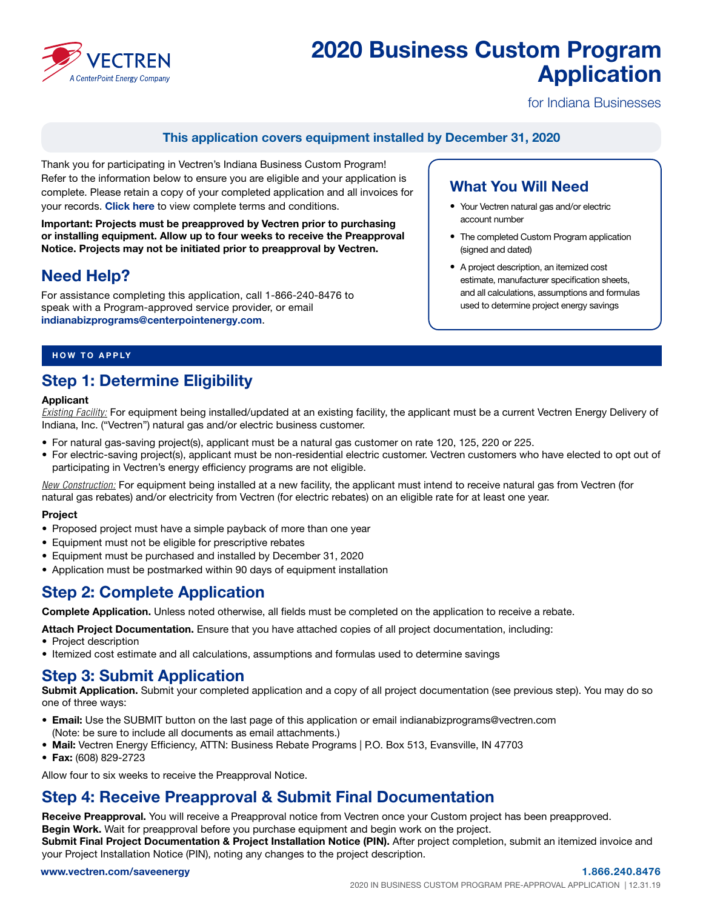

# 2020 Business Custom Program Application

for Indiana Businesses

### This application covers equipment installed by December 31, 2020

Thank you for participating in Vectren's Indiana Business Custom Program! Refer to the information below to ensure you are eligible and your application is complete. Please retain a copy of your completed application and all invoices for your records. [Click here](https://www.vectren.com/assets/downloads/in-business/in-business-equipment-eligibility.pdf) to view complete terms and conditions.

Important: Projects must be preapproved by Vectren prior to purchasing or installing equipment. Allow up to four weeks to receive the Preapproval Notice. Projects may not be initiated prior to preapproval by Vectren.

## Need Help?

For assistance completing this application, call 1-866-240-8476 to speak with a Program-approved service provider, or email [indianabizprograms@centerpointenergy.com](mailto:indianabizprograms%40centerpointenergy.com?subject=).

### What You Will Need

- Your Vectren natural gas and/or electric account number
- The completed Custom Program application (signed and dated)
- A project description, an itemized cost estimate, manufacturer specification sheets, and all calculations, assumptions and formulas used to determine project energy savings

#### HOW TO APPLY

### Step 1: Determine Eligibility

#### Applicant

*Existing Facility:* For equipment being installed/updated at an existing facility, the applicant must be a current Vectren Energy Delivery of Indiana, Inc. ("Vectren") natural gas and/or electric business customer.

- For natural gas-saving project(s), applicant must be a natural gas customer on rate 120, 125, 220 or 225.
- For electric-saving project(s), applicant must be non-residential electric customer. Vectren customers who have elected to opt out of participating in Vectren's energy efficiency programs are not eligible.

*New Construction:* For equipment being installed at a new facility, the applicant must intend to receive natural gas from Vectren (for natural gas rebates) and/or electricity from Vectren (for electric rebates) on an eligible rate for at least one year.

#### Project

- Proposed project must have a simple payback of more than one year
- Equipment must not be eligible for prescriptive rebates
- Equipment must be purchased and installed by December 31, 2020
- Application must be postmarked within 90 days of equipment installation

### Step 2: Complete Application

Complete Application. Unless noted otherwise, all fields must be completed on the application to receive a rebate.

Attach Project Documentation. Ensure that you have attached copies of all project documentation, including:

- Project description
- Itemized cost estimate and all calculations, assumptions and formulas used to determine savings

### Step 3: Submit Application

Submit Application. Submit your completed application and a copy of all project documentation (see previous step). You may do so one of three ways:

- Email: Use the SUBMIT button on the last page of this application or email indianabizprograms@vectren.com (Note: be sure to include all documents as email attachments.)
- Mail: Vectren Energy Efficiency, ATTN: Business Rebate Programs | P.O. Box 513, Evansville, IN 47703
- Fax: (608) 829-2723

Allow four to six weeks to receive the Preapproval Notice.

### Step 4: Receive Preapproval & Submit Final Documentation

Receive Preapproval. You will receive a Preapproval notice from Vectren once your Custom project has been preapproved. Begin Work. Wait for preapproval before you purchase equipment and begin work on the project. Submit Final Project Documentation & Project Installation Notice (PIN). After project completion, submit an itemized invoice and your Project Installation Notice (PIN), noting any changes to the project description.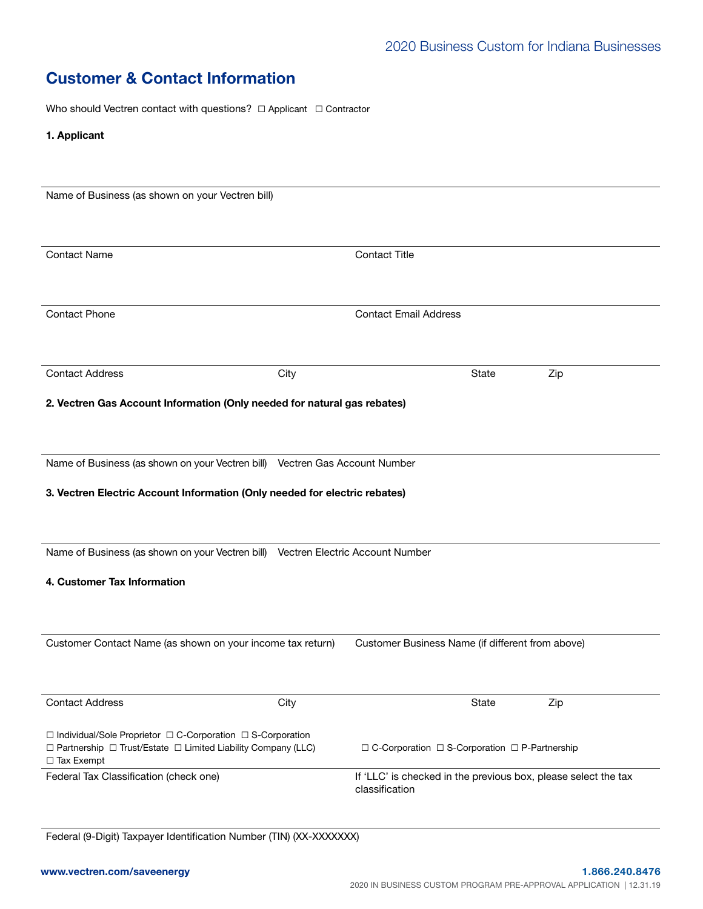## Customer & Contact Information

Who should Vectren contact with questions? □ Applicant □ Contractor

1. Applicant

| Name of Business (as shown on your Vectren bill)                                                                                                              |                              |                                                                                  |     |  |  |  |
|---------------------------------------------------------------------------------------------------------------------------------------------------------------|------------------------------|----------------------------------------------------------------------------------|-----|--|--|--|
| <b>Contact Name</b>                                                                                                                                           |                              | <b>Contact Title</b>                                                             |     |  |  |  |
| <b>Contact Phone</b>                                                                                                                                          | <b>Contact Email Address</b> |                                                                                  |     |  |  |  |
| <b>Contact Address</b>                                                                                                                                        | City                         | State                                                                            | Zip |  |  |  |
| 2. Vectren Gas Account Information (Only needed for natural gas rebates)                                                                                      |                              |                                                                                  |     |  |  |  |
| Name of Business (as shown on your Vectren bill) Vectren Gas Account Number                                                                                   |                              |                                                                                  |     |  |  |  |
| 3. Vectren Electric Account Information (Only needed for electric rebates)                                                                                    |                              |                                                                                  |     |  |  |  |
| Name of Business (as shown on your Vectren bill) Vectren Electric Account Number                                                                              |                              |                                                                                  |     |  |  |  |
| 4. Customer Tax Information                                                                                                                                   |                              |                                                                                  |     |  |  |  |
| Customer Contact Name (as shown on your income tax return)                                                                                                    |                              | Customer Business Name (if different from above)                                 |     |  |  |  |
| <b>Contact Address</b>                                                                                                                                        | City                         | State                                                                            | Zip |  |  |  |
| □ Individual/Sole Proprietor □ C-Corporation □ S-Corporation<br>$\Box$ Partnership $\Box$ Trust/Estate $\Box$ Limited Liability Company (LLC)<br>□ Tax Exempt |                              | □ C-Corporation □ S-Corporation □ P-Partnership                                  |     |  |  |  |
| Federal Tax Classification (check one)                                                                                                                        |                              | If 'LLC' is checked in the previous box, please select the tax<br>classification |     |  |  |  |

Federal (9-Digit) Taxpayer Identification Number (TIN) (XX-XXXXXXX)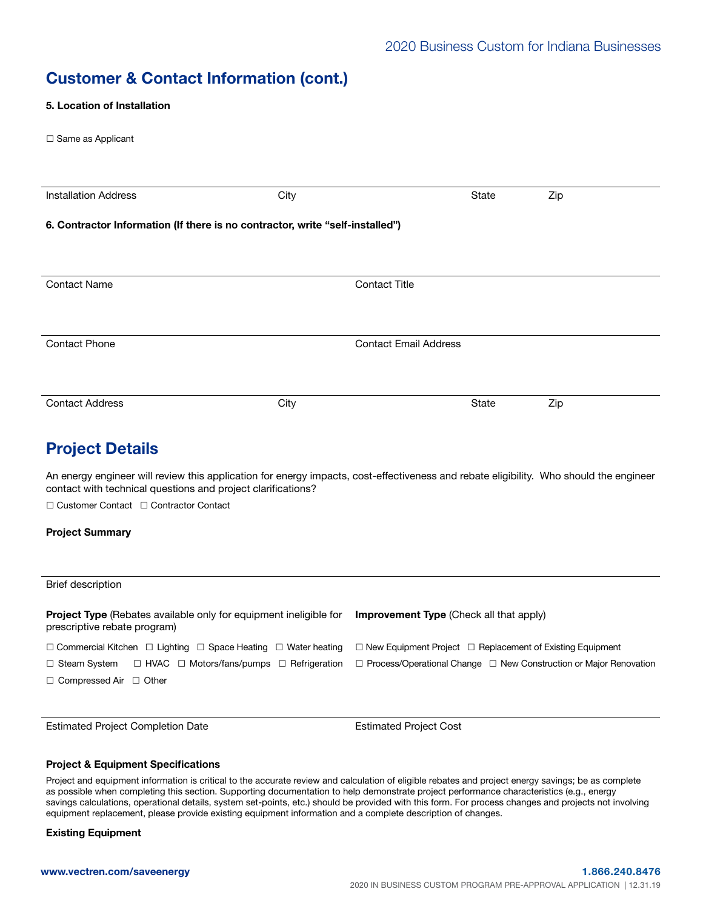## Customer & Contact Information (cont.)

5. Location of Installation

| ν. ∟υναιινπ νι πισιαπαιινπ                                                                                                                                                                             |      |                                                                       |              |                                                                               |  |
|--------------------------------------------------------------------------------------------------------------------------------------------------------------------------------------------------------|------|-----------------------------------------------------------------------|--------------|-------------------------------------------------------------------------------|--|
| $\Box$ Same as Applicant                                                                                                                                                                               |      |                                                                       |              |                                                                               |  |
|                                                                                                                                                                                                        |      |                                                                       |              |                                                                               |  |
| <b>Installation Address</b>                                                                                                                                                                            | City |                                                                       | <b>State</b> | Zip                                                                           |  |
| 6. Contractor Information (If there is no contractor, write "self-installed")                                                                                                                          |      |                                                                       |              |                                                                               |  |
|                                                                                                                                                                                                        |      |                                                                       |              |                                                                               |  |
| <b>Contact Name</b>                                                                                                                                                                                    |      | <b>Contact Title</b>                                                  |              |                                                                               |  |
|                                                                                                                                                                                                        |      |                                                                       |              |                                                                               |  |
| <b>Contact Phone</b>                                                                                                                                                                                   |      | <b>Contact Email Address</b>                                          |              |                                                                               |  |
|                                                                                                                                                                                                        |      |                                                                       |              |                                                                               |  |
| <b>Contact Address</b>                                                                                                                                                                                 | City |                                                                       | State        | Zip                                                                           |  |
| <b>Project Details</b>                                                                                                                                                                                 |      |                                                                       |              |                                                                               |  |
| An energy engineer will review this application for energy impacts, cost-effectiveness and rebate eligibility. Who should the engineer<br>contact with technical questions and project clarifications? |      |                                                                       |              |                                                                               |  |
| $\Box$ Customer Contact $\Box$ Contractor Contact                                                                                                                                                      |      |                                                                       |              |                                                                               |  |
| <b>Project Summary</b>                                                                                                                                                                                 |      |                                                                       |              |                                                                               |  |
|                                                                                                                                                                                                        |      |                                                                       |              |                                                                               |  |
| <b>Brief description</b>                                                                                                                                                                               |      |                                                                       |              |                                                                               |  |
| Project Type (Rebates available only for equipment ineligible for<br>prescriptive rebate program)                                                                                                      |      | Improvement Type (Check all that apply)                               |              |                                                                               |  |
| $\Box$ Commercial Kitchen $\Box$ Lighting $\Box$ Space Heating $\Box$ Water heating                                                                                                                    |      | $\Box$ New Equipment Project $\Box$ Replacement of Existing Equipment |              |                                                                               |  |
| □ HVAC □ Motors/fans/pumps □ Refrigeration<br>□ Steam System                                                                                                                                           |      |                                                                       |              | $\Box$ Process/Operational Change $\Box$ New Construction or Major Renovation |  |
| $\Box$ Compressed Air $\Box$ Other                                                                                                                                                                     |      |                                                                       |              |                                                                               |  |
|                                                                                                                                                                                                        |      |                                                                       |              |                                                                               |  |

Estimated Project Completion Date **Estimated Project Cost** 

#### Project & Equipment Specifications

Project and equipment information is critical to the accurate review and calculation of eligible rebates and project energy savings; be as complete as possible when completing this section. Supporting documentation to help demonstrate project performance characteristics (e.g., energy savings calculations, operational details, system set-points, etc.) should be provided with this form. For process changes and projects not involving equipment replacement, please provide existing equipment information and a complete description of changes.

Existing Equipment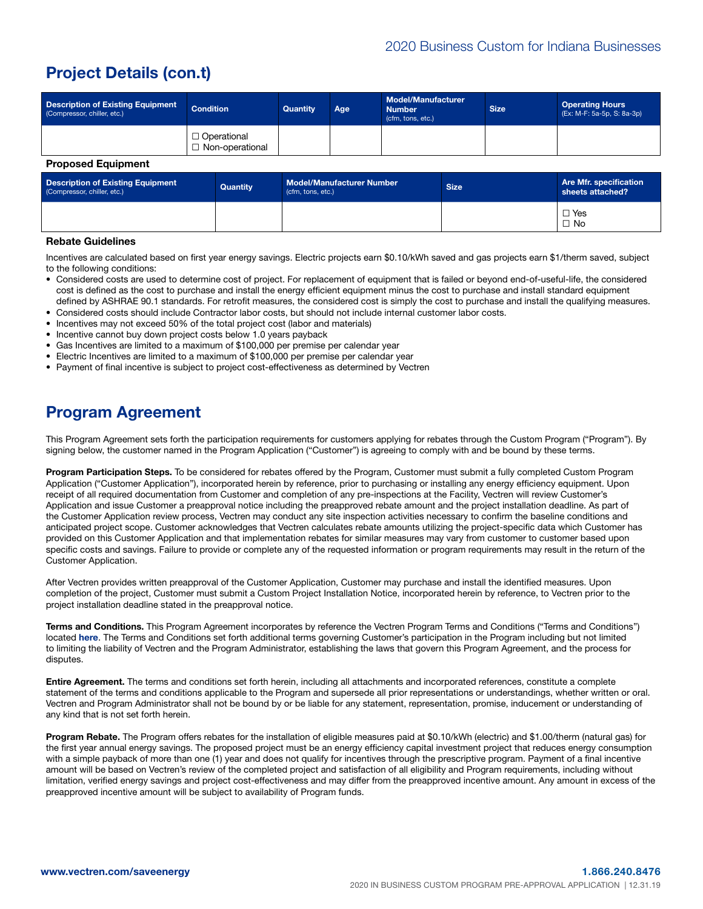## Project Details (con.t)

| <b>Description of Existing Equipment</b><br>(Compressor, chiller, etc.) | <b>Condition</b>                        | Quantity | Age | <b>Model/Manufacturer</b><br><b>Number</b><br>(cfm, tons, etc.) | <b>Size</b> | <b>Operating Hours</b><br>(Ex: M-F: 5a-5p, S: 8a-3p) |
|-------------------------------------------------------------------------|-----------------------------------------|----------|-----|-----------------------------------------------------------------|-------------|------------------------------------------------------|
|                                                                         | $\Box$ Operational<br>□ Non-operational |          |     |                                                                 |             |                                                      |
| <b>Proposed Equipment</b>                                               |                                         |          |     |                                                                 |             |                                                      |

| <b>Description of Existing Equipment</b><br>(Compressor, chiller, etc.) | Quantity | <b>Model/Manufacturer Number</b><br>(cfm, tons, etc.) | Size. | Are Mfr. specification<br>sheets attached? |
|-------------------------------------------------------------------------|----------|-------------------------------------------------------|-------|--------------------------------------------|
|                                                                         |          |                                                       |       | $\Box$ Yes<br>$\Box$ No                    |

#### Rebate Guidelines

Incentives are calculated based on first year energy savings. Electric projects earn \$0.10/kWh saved and gas projects earn \$1/therm saved, subject to the following conditions:

- Considered costs are used to determine cost of project. For replacement of equipment that is failed or beyond end-of-useful-life, the considered cost is defined as the cost to purchase and install the energy efficient equipment minus the cost to purchase and install standard equipment defined by ASHRAE 90.1 standards. For retrofit measures, the considered cost is simply the cost to purchase and install the qualifying measures.
- Considered costs should include Contractor labor costs, but should not include internal customer labor costs.
- Incentives may not exceed 50% of the total project cost (labor and materials)
- Incentive cannot buy down project costs below 1.0 years payback
- Gas Incentives are limited to a maximum of \$100,000 per premise per calendar year
- Electric Incentives are limited to a maximum of \$100,000 per premise per calendar year
- Payment of final incentive is subject to project cost-effectiveness as determined by Vectren

### Program Agreement

This Program Agreement sets forth the participation requirements for customers applying for rebates through the Custom Program ("Program"). By signing below, the customer named in the Program Application ("Customer") is agreeing to comply with and be bound by these terms.

Program Participation Steps. To be considered for rebates offered by the Program, Customer must submit a fully completed Custom Program Application ("Customer Application"), incorporated herein by reference, prior to purchasing or installing any energy efficiency equipment. Upon receipt of all required documentation from Customer and completion of any pre-inspections at the Facility, Vectren will review Customer's Application and issue Customer a preapproval notice including the preapproved rebate amount and the project installation deadline. As part of the Customer Application review process, Vectren may conduct any site inspection activities necessary to confirm the baseline conditions and anticipated project scope. Customer acknowledges that Vectren calculates rebate amounts utilizing the project-specific data which Customer has provided on this Customer Application and that implementation rebates for similar measures may vary from customer to customer based upon specific costs and savings. Failure to provide or complete any of the requested information or program requirements may result in the return of the Customer Application.

After Vectren provides written preapproval of the Customer Application, Customer may purchase and install the identified measures. Upon completion of the project, Customer must submit a Custom Project Installation Notice, incorporated herein by reference, to Vectren prior to the project installation deadline stated in the preapproval notice.

Terms and Conditions. This Program Agreement incorporates by reference the Vectren Program Terms and Conditions ("Terms and Conditions") located [here](https://www.vectren.com/assets/downloads/in-business/in-business-equipment-eligibility.pdf). The Terms and Conditions set forth additional terms governing Customer's participation in the Program including but not limited to limiting the liability of Vectren and the Program Administrator, establishing the laws that govern this Program Agreement, and the process for disputes.

Entire Agreement. The terms and conditions set forth herein, including all attachments and incorporated references, constitute a complete statement of the terms and conditions applicable to the Program and supersede all prior representations or understandings, whether written or oral. Vectren and Program Administrator shall not be bound by or be liable for any statement, representation, promise, inducement or understanding of any kind that is not set forth herein.

Program Rebate. The Program offers rebates for the installation of eligible measures paid at \$0.10/kWh (electric) and \$1.00/therm (natural gas) for the first year annual energy savings. The proposed project must be an energy efficiency capital investment project that reduces energy consumption with a simple payback of more than one (1) year and does not qualify for incentives through the prescriptive program. Payment of a final incentive amount will be based on Vectren's review of the completed project and satisfaction of all eligibility and Program requirements, including without limitation, verified energy savings and project cost-effectiveness and may differ from the preapproved incentive amount. Any amount in excess of the preapproved incentive amount will be subject to availability of Program funds.